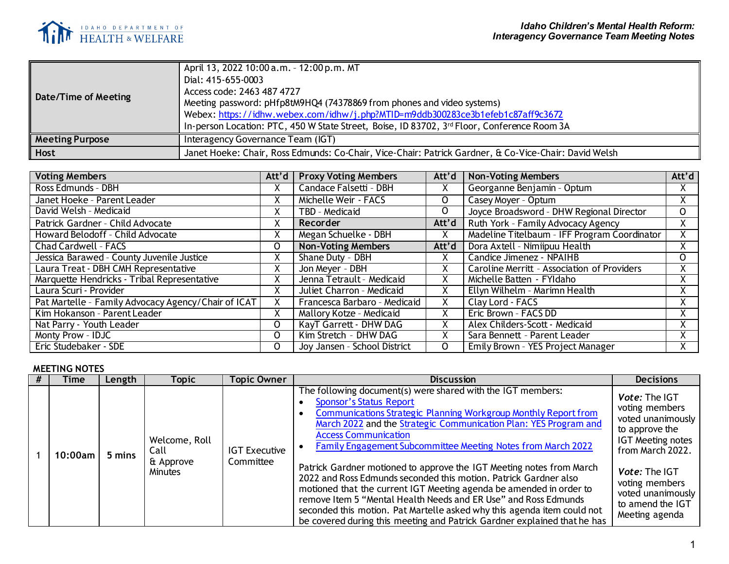

| Date/Time of Meeting   | April 13, 2022 10:00 a.m. - 12:00 p.m. MT<br>Dial: 415-655-0003<br>Access code: 2463 487 4727<br>Meeting password: pHfp8tM9HQ4 (74378869 from phones and video systems)<br>Webex: https://idhw.webex.com/idhw/j.php?MTID=m9ddb300283ce3b1efeb1c87aff9c3672<br>In-person Location: PTC, 450 W State Street, Boise, ID 83702, 3 <sup>rd</sup> Floor, Conference Room 3A |
|------------------------|-----------------------------------------------------------------------------------------------------------------------------------------------------------------------------------------------------------------------------------------------------------------------------------------------------------------------------------------------------------------------|
| <b>Meeting Purpose</b> | Interagency Governance Team (IGT)                                                                                                                                                                                                                                                                                                                                     |
| Host                   | Janet Hoeke: Chair, Ross Edmunds: Co-Chair, Vice-Chair: Patrick Gardner, & Co-Vice-Chair: David Welsh                                                                                                                                                                                                                                                                 |

| <b>Voting Members</b>                               | Att'd $\vert$ | <b>Proxy Voting Members</b>  | Att'd        | <b>Non-Voting Members</b>                    | Att'd |
|-----------------------------------------------------|---------------|------------------------------|--------------|----------------------------------------------|-------|
| Ross Edmunds - DBH                                  | $\lambda$     | Candace Falsetti - DBH       | Χ            | Georganne Benjamin - Optum                   | X.    |
| Janet Hoeke - Parent Leader                         | X             | Michelle Weir - FACS         | $\mathsf{O}$ | Casey Moyer - Optum                          | X.    |
| David Welsh - Medicaid                              |               | TBD - Medicaid               | $\mathsf{O}$ | Joyce Broadsword - DHW Regional Director     | 0     |
| Patrick Gardner - Child Advocate                    | X             | Recorder                     | Att'd        | Ruth York - Family Advocacy Agency           | X.    |
| Howard Belodoff - Child Advocate                    | X             | Megan Schuelke - DBH         | X            | Madeline Titelbaum - IFF Program Coordinator | Χ.    |
| <b>Chad Cardwell - FACS</b>                         | 0             | <b>Non-Voting Members</b>    | Att'd        | Dora Axtell - Nimiipuu Health                | X.    |
| Jessica Barawed - County Juvenile Justice           |               | Shane Duty - DBH             | X            | Candice Jimenez - NPAIHB                     | 0     |
| Laura Treat - DBH CMH Representative                | X             | Jon Meyer - DBH              | Χ            | Caroline Merritt - Association of Providers  | Χ.    |
| Marquette Hendricks - Tribal Representative         |               | Jenna Tetrault - Medicaid    | x            | Michelle Batten - FYI daho                   |       |
| Laura Scuri - Provider                              | $\lambda$     | Juliet Charron - Medicaid    | Χ            | Ellyn Wilhelm - Marimn Health                | X.    |
| Pat Martelle - Family Advocacy Agency/Chair of ICAT | X             | Francesca Barbaro - Medicaid | X            | Clay Lord - FACS                             | Χ.    |
| Kim Hokanson - Parent Leader                        | A             | Mallory Kotze - Medicaid     | Χ            | Eric Brown - FACS DD                         | ^     |
| Nat Parry - Youth Leader                            | 0             | KayT Garrett - DHW DAG       | X            | Alex Childers-Scott - Medicaid               | Λ.    |
| Monty Prow - IDJC                                   | 0             | Kim Stretch - DHW DAG        | Χ            | Sara Bennett - Parent Leader                 | Λ.    |
| Eric Studebaker - SDE                               | O             | Joy Jansen - School District | $\Omega$     | Emily Brown - YES Project Manager            | X.    |

## **MEETING NOTES**

|  | Time       | Length                          | Topic                       | Topic Owner                                                                                                                                                                                                                                                                                                                         | <b>Discussion</b>                                                                                                                                                                                                                                                                                                                                                                                                                         | <b>Decisions</b>                                                                           |
|--|------------|---------------------------------|-----------------------------|-------------------------------------------------------------------------------------------------------------------------------------------------------------------------------------------------------------------------------------------------------------------------------------------------------------------------------------|-------------------------------------------------------------------------------------------------------------------------------------------------------------------------------------------------------------------------------------------------------------------------------------------------------------------------------------------------------------------------------------------------------------------------------------------|--------------------------------------------------------------------------------------------|
|  | $10:00$ am | Welcome, Roll<br>Call<br>5 mins | <b>IGT Executive</b>        | The following document(s) were shared with the IGT members:<br><b>Sponsor's Status Report</b><br>Communications Strategic Planning Workgroup Monthly Report from<br>March 2022 and the Strategic Communication Plan: YES Program and<br><b>Access Communication</b><br>Family Engagement Subcommittee Meeting Notes from March 2022 | Vote: The IGT<br>voting members<br>voted unanimously<br>to approve the<br><b>IGT Meeting notes</b><br>from March 2022.                                                                                                                                                                                                                                                                                                                    |                                                                                            |
|  |            |                                 | & Approve<br><b>Minutes</b> | Committee                                                                                                                                                                                                                                                                                                                           | Patrick Gardner motioned to approve the IGT Meeting notes from March<br>2022 and Ross Edmunds seconded this motion. Patrick Gardner also<br>motioned that the current IGT Meeting agenda be amended in order to<br>remove Item 5 "Mental Health Needs and ER Use" and Ross Edmunds<br>seconded this motion. Pat Martelle asked why this agenda item could not<br>be covered during this meeting and Patrick Gardner explained that he has | Vote: The IGT<br>voting members<br>voted unanimously<br>to amend the IGT<br>Meeting agenda |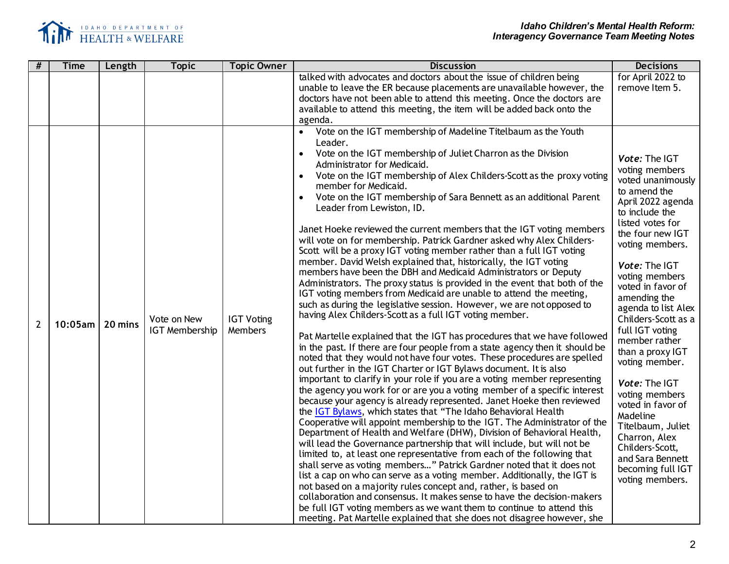

| #              | <b>Time</b> | Length  | <b>Topic</b>                         | <b>Topic Owner</b>                  | <b>Discussion</b>                                                                                                                                                                                                                                                                                                                                                                                                                                                                                                                                                                                                                                                                                                                                                                                                                                                                                                                                                                                                                                                                                                                                                                                                                                                                                                                                                                                                                                                                                                                                                                                                                                                                                                                                                                                                                                                                                                                                                                                                                                                                                                                                           | <b>Decisions</b>                                                                                                                                                                                                                                                                                                                                                                                                                                                                                                                             |
|----------------|-------------|---------|--------------------------------------|-------------------------------------|-------------------------------------------------------------------------------------------------------------------------------------------------------------------------------------------------------------------------------------------------------------------------------------------------------------------------------------------------------------------------------------------------------------------------------------------------------------------------------------------------------------------------------------------------------------------------------------------------------------------------------------------------------------------------------------------------------------------------------------------------------------------------------------------------------------------------------------------------------------------------------------------------------------------------------------------------------------------------------------------------------------------------------------------------------------------------------------------------------------------------------------------------------------------------------------------------------------------------------------------------------------------------------------------------------------------------------------------------------------------------------------------------------------------------------------------------------------------------------------------------------------------------------------------------------------------------------------------------------------------------------------------------------------------------------------------------------------------------------------------------------------------------------------------------------------------------------------------------------------------------------------------------------------------------------------------------------------------------------------------------------------------------------------------------------------------------------------------------------------------------------------------------------------|----------------------------------------------------------------------------------------------------------------------------------------------------------------------------------------------------------------------------------------------------------------------------------------------------------------------------------------------------------------------------------------------------------------------------------------------------------------------------------------------------------------------------------------------|
|                |             |         |                                      |                                     | talked with advocates and doctors about the issue of children being<br>unable to leave the ER because placements are unavailable however, the                                                                                                                                                                                                                                                                                                                                                                                                                                                                                                                                                                                                                                                                                                                                                                                                                                                                                                                                                                                                                                                                                                                                                                                                                                                                                                                                                                                                                                                                                                                                                                                                                                                                                                                                                                                                                                                                                                                                                                                                               | for April 2022 to<br>remove Item 5.                                                                                                                                                                                                                                                                                                                                                                                                                                                                                                          |
|                |             |         |                                      |                                     | doctors have not been able to attend this meeting. Once the doctors are                                                                                                                                                                                                                                                                                                                                                                                                                                                                                                                                                                                                                                                                                                                                                                                                                                                                                                                                                                                                                                                                                                                                                                                                                                                                                                                                                                                                                                                                                                                                                                                                                                                                                                                                                                                                                                                                                                                                                                                                                                                                                     |                                                                                                                                                                                                                                                                                                                                                                                                                                                                                                                                              |
|                |             |         |                                      |                                     | available to attend this meeting, the item will be added back onto the                                                                                                                                                                                                                                                                                                                                                                                                                                                                                                                                                                                                                                                                                                                                                                                                                                                                                                                                                                                                                                                                                                                                                                                                                                                                                                                                                                                                                                                                                                                                                                                                                                                                                                                                                                                                                                                                                                                                                                                                                                                                                      |                                                                                                                                                                                                                                                                                                                                                                                                                                                                                                                                              |
|                |             |         |                                      |                                     |                                                                                                                                                                                                                                                                                                                                                                                                                                                                                                                                                                                                                                                                                                                                                                                                                                                                                                                                                                                                                                                                                                                                                                                                                                                                                                                                                                                                                                                                                                                                                                                                                                                                                                                                                                                                                                                                                                                                                                                                                                                                                                                                                             |                                                                                                                                                                                                                                                                                                                                                                                                                                                                                                                                              |
| $\overline{2}$ | $10:05$ am  | 20 mins | Vote on New<br><b>IGT Membership</b> | <b>IGT Voting</b><br><b>Members</b> | agenda.<br>Vote on the IGT membership of Madeline Titelbaum as the Youth<br>$\bullet$<br>Leader.<br>Vote on the IGT membership of Juliet Charron as the Division<br>$\bullet$<br>Administrator for Medicaid.<br>Vote on the IGT membership of Alex Childers-Scott as the proxy voting<br>member for Medicaid.<br>Vote on the IGT membership of Sara Bennett as an additional Parent<br>Leader from Lewiston, ID.<br>Janet Hoeke reviewed the current members that the IGT voting members<br>will vote on for membership. Patrick Gardner asked why Alex Childers-<br>Scott will be a proxy IGT voting member rather than a full IGT voting<br>member. David Welsh explained that, historically, the IGT voting<br>members have been the DBH and Medicaid Administrators or Deputy<br>Administrators. The proxy status is provided in the event that both of the<br>IGT voting members from Medicaid are unable to attend the meeting,<br>such as during the legislative session. However, we are not opposed to<br>having Alex Childers-Scott as a full IGT voting member.<br>Pat Martelle explained that the IGT has procedures that we have followed<br>in the past. If there are four people from a state agency then it should be<br>noted that they would not have four votes. These procedures are spelled<br>out further in the IGT Charter or IGT Bylaws document. It is also<br>important to clarify in your role if you are a voting member representing<br>the agency you work for or are you a voting member of a specific interest<br>because your agency is already represented. Janet Hoeke then reviewed<br>the IGT Bylaws, which states that "The Idaho Behavioral Health<br>Cooperative will appoint membership to the IGT. The Administrator of the<br>Department of Health and Welfare (DHW), Division of Behavioral Health,<br>will lead the Governance partnership that will include, but will not be<br>limited to, at least one representative from each of the following that<br>shall serve as voting members" Patrick Gardner noted that it does not<br>list a cap on who can serve as a voting member. Additionally, the IGT is | Vote: The IGT<br>voting members<br>voted unanimously<br>to amend the<br>April 2022 agenda<br>to include the<br>listed votes for<br>the four new IGT<br>voting members.<br>Vote: The IGT<br>voting members<br>voted in favor of<br>amending the<br>agenda to list Alex<br>Childers-Scott as a<br>full IGT voting<br>member rather<br>than a proxy IGT<br>voting member.<br>Vote: The IGT<br>voting members<br>voted in favor of<br>Madeline<br>Titelbaum, Juliet<br>Charron, Alex<br>Childers-Scott,<br>and Sara Bennett<br>becoming full IGT |
|                |             |         |                                      |                                     | not based on a majority rules concept and, rather, is based on<br>collaboration and consensus. It makes sense to have the decision-makers<br>be full IGT voting members as we want them to continue to attend this<br>meeting. Pat Martelle explained that she does not disagree however, she                                                                                                                                                                                                                                                                                                                                                                                                                                                                                                                                                                                                                                                                                                                                                                                                                                                                                                                                                                                                                                                                                                                                                                                                                                                                                                                                                                                                                                                                                                                                                                                                                                                                                                                                                                                                                                                               | voting members.                                                                                                                                                                                                                                                                                                                                                                                                                                                                                                                              |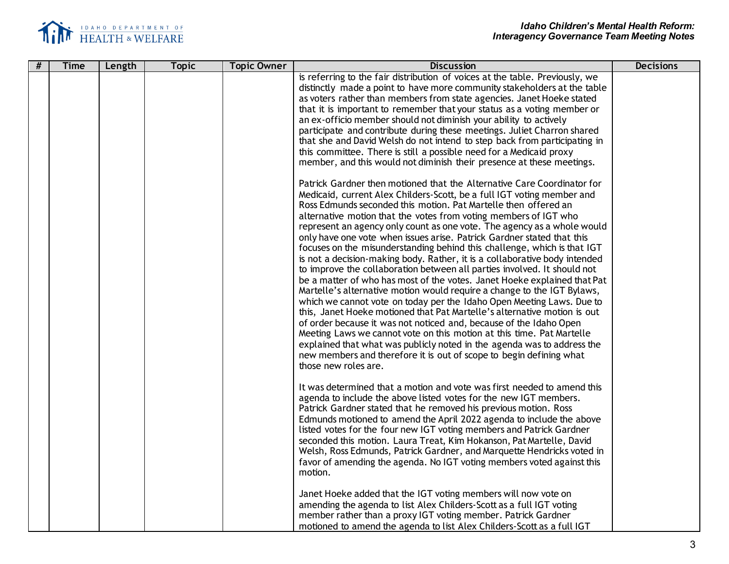

| # | <b>Time</b> | Length | <b>Topic</b> | <b>Topic Owner</b> | <b>Discussion</b>                                                                                                                                                                                                                                                                                                                                                                                                                                                                                                                                                                                                                                                                                                                                                                                                                                                                                                                                                                                                                                                                                                                                                                                                                                                                                                                                                                                                                                                                                                                                                                                                                                                                                                                                                                                                                                                                                                                                                                                                                                                                                                                                                                                                                                                                                                                                                                                                                                                                                                                           | <b>Decisions</b> |
|---|-------------|--------|--------------|--------------------|---------------------------------------------------------------------------------------------------------------------------------------------------------------------------------------------------------------------------------------------------------------------------------------------------------------------------------------------------------------------------------------------------------------------------------------------------------------------------------------------------------------------------------------------------------------------------------------------------------------------------------------------------------------------------------------------------------------------------------------------------------------------------------------------------------------------------------------------------------------------------------------------------------------------------------------------------------------------------------------------------------------------------------------------------------------------------------------------------------------------------------------------------------------------------------------------------------------------------------------------------------------------------------------------------------------------------------------------------------------------------------------------------------------------------------------------------------------------------------------------------------------------------------------------------------------------------------------------------------------------------------------------------------------------------------------------------------------------------------------------------------------------------------------------------------------------------------------------------------------------------------------------------------------------------------------------------------------------------------------------------------------------------------------------------------------------------------------------------------------------------------------------------------------------------------------------------------------------------------------------------------------------------------------------------------------------------------------------------------------------------------------------------------------------------------------------------------------------------------------------------------------------------------------------|------------------|
|   |             |        |              |                    | is referring to the fair distribution of voices at the table. Previously, we<br>distinctly made a point to have more community stakeholders at the table<br>as voters rather than members from state agencies. Janet Hoeke stated<br>that it is important to remember that your status as a voting member or<br>an ex-officio member should not diminish your ability to actively<br>participate and contribute during these meetings. Juliet Charron shared<br>that she and David Welsh do not intend to step back from participating in<br>this committee. There is still a possible need for a Medicaid proxy<br>member, and this would not diminish their presence at these meetings.<br>Patrick Gardner then motioned that the Alternative Care Coordinator for<br>Medicaid, current Alex Childers-Scott, be a full IGT voting member and<br>Ross Edmunds seconded this motion. Pat Martelle then offered an<br>alternative motion that the votes from voting members of IGT who<br>represent an agency only count as one vote. The agency as a whole would<br>only have one vote when issues arise. Patrick Gardner stated that this<br>focuses on the misunderstanding behind this challenge, which is that IGT<br>is not a decision-making body. Rather, it is a collaborative body intended<br>to improve the collaboration between all parties involved. It should not<br>be a matter of who has most of the votes. Janet Hoeke explained that Pat<br>Martelle's alternative motion would require a change to the IGT Bylaws,<br>which we cannot vote on today per the Idaho Open Meeting Laws. Due to<br>this, Janet Hoeke motioned that Pat Martelle's alternative motion is out<br>of order because it was not noticed and, because of the Idaho Open<br>Meeting Laws we cannot vote on this motion at this time. Pat Martelle<br>explained that what was publicly noted in the agenda was to address the<br>new members and therefore it is out of scope to begin defining what<br>those new roles are.<br>It was determined that a motion and vote was first needed to amend this<br>agenda to include the above listed votes for the new IGT members.<br>Patrick Gardner stated that he removed his previous motion. Ross<br>Edmunds motioned to amend the April 2022 agenda to include the above<br>listed votes for the four new IGT voting members and Patrick Gardner<br>seconded this motion. Laura Treat, Kim Hokanson, Pat Martelle, David<br>Welsh, Ross Edmunds, Patrick Gardner, and Marquette Hendricks voted in |                  |
|   |             |        |              |                    | favor of amending the agenda. No IGT voting members voted against this<br>motion.<br>Janet Hoeke added that the IGT voting members will now vote on                                                                                                                                                                                                                                                                                                                                                                                                                                                                                                                                                                                                                                                                                                                                                                                                                                                                                                                                                                                                                                                                                                                                                                                                                                                                                                                                                                                                                                                                                                                                                                                                                                                                                                                                                                                                                                                                                                                                                                                                                                                                                                                                                                                                                                                                                                                                                                                         |                  |
|   |             |        |              |                    | amending the agenda to list Alex Childers-Scott as a full IGT voting<br>member rather than a proxy IGT voting member. Patrick Gardner<br>motioned to amend the agenda to list Alex Childers-Scott as a full IGT                                                                                                                                                                                                                                                                                                                                                                                                                                                                                                                                                                                                                                                                                                                                                                                                                                                                                                                                                                                                                                                                                                                                                                                                                                                                                                                                                                                                                                                                                                                                                                                                                                                                                                                                                                                                                                                                                                                                                                                                                                                                                                                                                                                                                                                                                                                             |                  |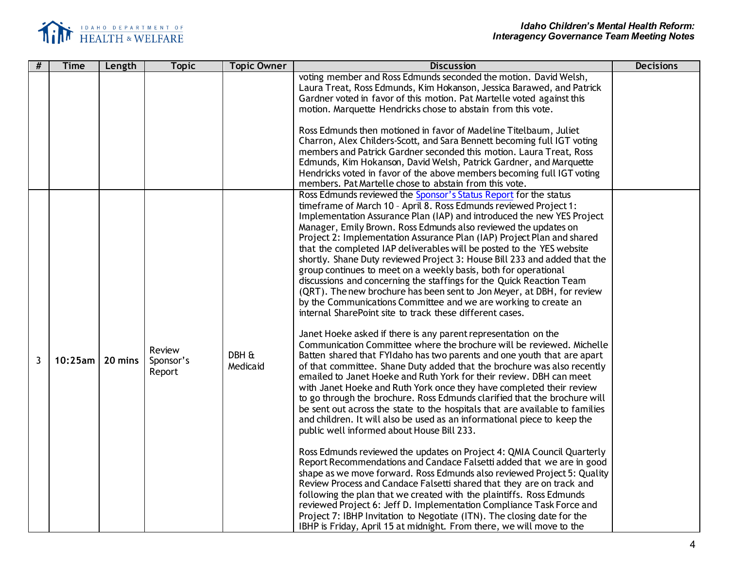

| #              | <b>Time</b> | Length  | <b>Topic</b> | <b>Topic Owner</b> | <b>Discussion</b>                                                                                                                                   | <b>Decisions</b> |
|----------------|-------------|---------|--------------|--------------------|-----------------------------------------------------------------------------------------------------------------------------------------------------|------------------|
|                |             |         |              |                    | voting member and Ross Edmunds seconded the motion. David Welsh,<br>Laura Treat, Ross Edmunds, Kim Hokanson, Jessica Barawed, and Patrick           |                  |
|                |             |         |              |                    | Gardner voted in favor of this motion. Pat Martelle voted against this                                                                              |                  |
|                |             |         |              |                    | motion. Marquette Hendricks chose to abstain from this vote.                                                                                        |                  |
|                |             |         |              |                    | Ross Edmunds then motioned in favor of Madeline Titelbaum, Juliet                                                                                   |                  |
|                |             |         |              |                    | Charron, Alex Childers-Scott, and Sara Bennett becoming full IGT voting                                                                             |                  |
|                |             |         |              |                    | members and Patrick Gardner seconded this motion. Laura Treat, Ross                                                                                 |                  |
|                |             |         |              |                    | Edmunds, Kim Hokanson, David Welsh, Patrick Gardner, and Marquette                                                                                  |                  |
|                |             |         |              |                    | Hendricks voted in favor of the above members becoming full IGT voting                                                                              |                  |
|                |             |         |              |                    | members. Pat Martelle chose to abstain from this vote.<br>Ross Edmunds reviewed the Sponsor's Status Report for the status                          |                  |
|                |             |         |              |                    | timeframe of March 10 - April 8. Ross Edmunds reviewed Project 1:                                                                                   |                  |
|                |             |         |              |                    | Implementation Assurance Plan (IAP) and introduced the new YES Project                                                                              |                  |
|                |             |         |              |                    | Manager, Emily Brown. Ross Edmunds also reviewed the updates on                                                                                     |                  |
|                |             |         |              |                    | Project 2: Implementation Assurance Plan (IAP) Project Plan and shared<br>that the completed IAP deliverables will be posted to the YES website     |                  |
|                |             |         |              |                    | shortly. Shane Duty reviewed Project 3: House Bill 233 and added that the                                                                           |                  |
|                |             |         |              |                    | group continues to meet on a weekly basis, both for operational                                                                                     |                  |
|                |             |         |              |                    | discussions and concerning the staffings for the Quick Reaction Team                                                                                |                  |
|                |             |         |              |                    | (QRT). The new brochure has been sent to Jon Meyer, at DBH, for review                                                                              |                  |
|                |             |         |              |                    | by the Communications Committee and we are working to create an<br>internal SharePoint site to track these different cases.                         |                  |
|                |             |         |              |                    |                                                                                                                                                     |                  |
|                |             |         |              |                    | Janet Hoeke asked if there is any parent representation on the                                                                                      |                  |
|                |             |         | Review       |                    | Communication Committee where the brochure will be reviewed. Michelle                                                                               |                  |
| $\overline{3}$ | $10:25$ am  | 20 mins | Sponsor's    | DBH &<br>Medicaid  | Batten shared that FYI daho has two parents and one youth that are apart<br>of that committee. Shane Duty added that the brochure was also recently |                  |
|                |             |         | Report       |                    | emailed to Janet Hoeke and Ruth York for their review. DBH can meet                                                                                 |                  |
|                |             |         |              |                    | with Janet Hoeke and Ruth York once they have completed their review                                                                                |                  |
|                |             |         |              |                    | to go through the brochure. Ross Edmunds clarified that the brochure will                                                                           |                  |
|                |             |         |              |                    | be sent out across the state to the hospitals that are available to families                                                                        |                  |
|                |             |         |              |                    | and children. It will also be used as an informational piece to keep the<br>public well informed about House Bill 233.                              |                  |
|                |             |         |              |                    |                                                                                                                                                     |                  |
|                |             |         |              |                    | Ross Edmunds reviewed the updates on Project 4: QMIA Council Quarterly                                                                              |                  |
|                |             |         |              |                    | Report Recommendations and Candace Falsetti added that we are in good                                                                               |                  |
|                |             |         |              |                    | shape as we move forward. Ross Edmunds also reviewed Project 5: Quality<br>Review Process and Candace Falsetti shared that they are on track and    |                  |
|                |             |         |              |                    | following the plan that we created with the plaintiffs. Ross Edmunds                                                                                |                  |
|                |             |         |              |                    | reviewed Project 6: Jeff D. Implementation Compliance Task Force and                                                                                |                  |
|                |             |         |              |                    | Project 7: IBHP Invitation to Negotiate (ITN). The closing date for the                                                                             |                  |
|                |             |         |              |                    | IBHP is Friday, April 15 at midnight. From there, we will move to the                                                                               |                  |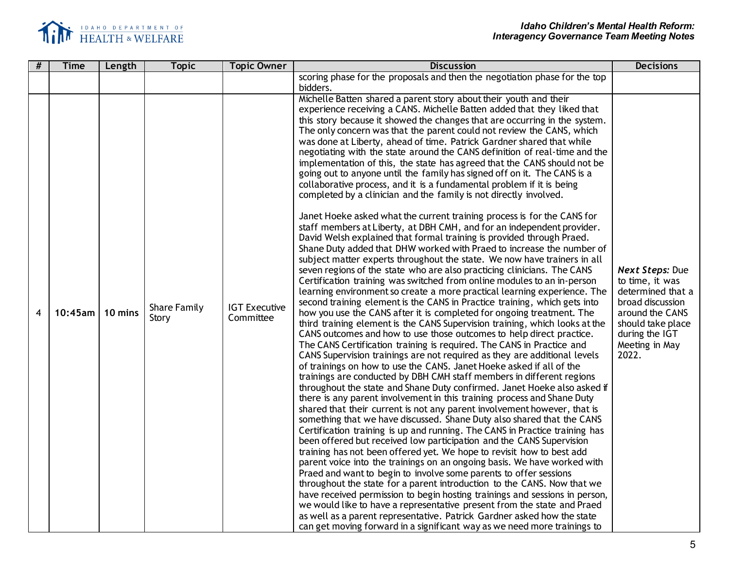

| # | <b>Time</b> | Length  | <b>Topic</b>                 | <b>Topic Owner</b>                | <b>Discussion</b>                                                                                                                                                                                                                                                                                                                                                                                                                                                                                                                                                                                                                                                                                                                                                                                                                                                                                                                                                                                                                                                                                                                                                                                                                                                                                                                                                                                                                                                                                                                                                                                                                                                                                                                                                                                                                                                                                                                                                                                                                                                                                                                                                                                                                                                                                                                                                                                                                                                                                                                                                                                                                                                                                                                                                                                                                                                                                                                                                                                                                                                                                   | <b>Decisions</b>                                                                                                                                                        |
|---|-------------|---------|------------------------------|-----------------------------------|-----------------------------------------------------------------------------------------------------------------------------------------------------------------------------------------------------------------------------------------------------------------------------------------------------------------------------------------------------------------------------------------------------------------------------------------------------------------------------------------------------------------------------------------------------------------------------------------------------------------------------------------------------------------------------------------------------------------------------------------------------------------------------------------------------------------------------------------------------------------------------------------------------------------------------------------------------------------------------------------------------------------------------------------------------------------------------------------------------------------------------------------------------------------------------------------------------------------------------------------------------------------------------------------------------------------------------------------------------------------------------------------------------------------------------------------------------------------------------------------------------------------------------------------------------------------------------------------------------------------------------------------------------------------------------------------------------------------------------------------------------------------------------------------------------------------------------------------------------------------------------------------------------------------------------------------------------------------------------------------------------------------------------------------------------------------------------------------------------------------------------------------------------------------------------------------------------------------------------------------------------------------------------------------------------------------------------------------------------------------------------------------------------------------------------------------------------------------------------------------------------------------------------------------------------------------------------------------------------------------------------------------------------------------------------------------------------------------------------------------------------------------------------------------------------------------------------------------------------------------------------------------------------------------------------------------------------------------------------------------------------------------------------------------------------------------------------------------------------|-------------------------------------------------------------------------------------------------------------------------------------------------------------------------|
|   |             |         |                              |                                   | scoring phase for the proposals and then the negotiation phase for the top<br>bidders.                                                                                                                                                                                                                                                                                                                                                                                                                                                                                                                                                                                                                                                                                                                                                                                                                                                                                                                                                                                                                                                                                                                                                                                                                                                                                                                                                                                                                                                                                                                                                                                                                                                                                                                                                                                                                                                                                                                                                                                                                                                                                                                                                                                                                                                                                                                                                                                                                                                                                                                                                                                                                                                                                                                                                                                                                                                                                                                                                                                                              |                                                                                                                                                                         |
| 4 | $10:45$ am  | 10 mins | <b>Share Family</b><br>Story | <b>IGT Executive</b><br>Committee | Michelle Batten shared a parent story about their youth and their<br>experience receiving a CANS. Michelle Batten added that they liked that<br>this story because it showed the changes that are occurring in the system.<br>The only concern was that the parent could not review the CANS, which<br>was done at Liberty, ahead of time. Patrick Gardner shared that while<br>negotiating with the state around the CANS definition of real-time and the<br>implementation of this, the state has agreed that the CANS should not be<br>going out to anyone until the family has signed off on it. The CANS is a<br>collaborative process, and it is a fundamental problem if it is being<br>completed by a clinician and the family is not directly involved.<br>Janet Hoeke asked what the current training process is for the CANS for<br>staff members at Liberty, at DBH CMH, and for an independent provider.<br>David Welsh explained that formal training is provided through Praed.<br>Shane Duty added that DHW worked with Praed to increase the number of<br>subject matter experts throughout the state. We now have trainers in all<br>seven regions of the state who are also practicing clinicians. The CANS<br>Certification training was switched from online modules to an in-person<br>learning environment so create a more practical learning experience. The<br>second training element is the CANS in Practice training, which gets into<br>how you use the CANS after it is completed for ongoing treatment. The<br>third training element is the CANS Supervision training, which looks at the<br>CANS outcomes and how to use those outcomes to help direct practice.<br>The CANS Certification training is required. The CANS in Practice and<br>CANS Supervision trainings are not required as they are additional levels<br>of trainings on how to use the CANS. Janet Hoeke asked if all of the<br>trainings are conducted by DBH CMH staff members in different regions<br>throughout the state and Shane Duty confirmed. Janet Hoeke also asked if<br>there is any parent involvement in this training process and Shane Duty<br>shared that their current is not any parent involvement however, that is<br>something that we have discussed. Shane Duty also shared that the CANS<br>Certification training is up and running. The CANS in Practice training has<br>been offered but received low participation and the CANS Supervision<br>training has not been offered yet. We hope to revisit how to best add<br>parent voice into the trainings on an ongoing basis. We have worked with<br>Praed and want to begin to involve some parents to offer sessions<br>throughout the state for a parent introduction to the CANS. Now that we<br>have received permission to begin hosting trainings and sessions in person,<br>we would like to have a representative present from the state and Praed<br>as well as a parent representative. Patrick Gardner asked how the state<br>can get moving forward in a significant way as we need more trainings to | <b>Next Steps: Due</b><br>to time, it was<br>determined that a<br>broad discussion<br>around the CANS<br>should take place<br>during the IGT<br>Meeting in May<br>2022. |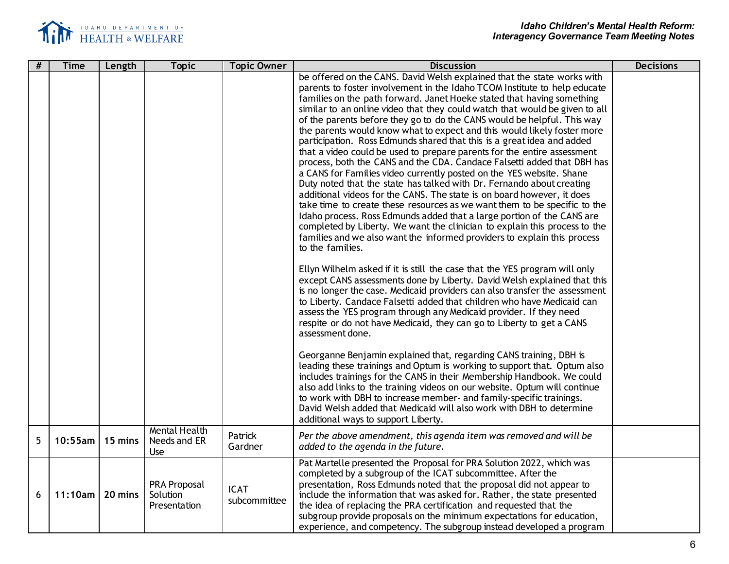

| # | <b>Time</b> | Length  | <b>Topic</b>                                    | <b>Topic Owner</b>          | <b>Discussion</b>                                                                                                                                                                                                                                                                                                                                                                                                                                                                                                                                                                                                                                                                                                                                                                                                                                                                                                                                                                                                                                                                                                                                                                                                                                                   | <b>Decisions</b> |
|---|-------------|---------|-------------------------------------------------|-----------------------------|---------------------------------------------------------------------------------------------------------------------------------------------------------------------------------------------------------------------------------------------------------------------------------------------------------------------------------------------------------------------------------------------------------------------------------------------------------------------------------------------------------------------------------------------------------------------------------------------------------------------------------------------------------------------------------------------------------------------------------------------------------------------------------------------------------------------------------------------------------------------------------------------------------------------------------------------------------------------------------------------------------------------------------------------------------------------------------------------------------------------------------------------------------------------------------------------------------------------------------------------------------------------|------------------|
|   |             |         |                                                 |                             | be offered on the CANS. David Welsh explained that the state works with<br>parents to foster involvement in the Idaho TCOM Institute to help educate<br>families on the path forward. Janet Hoeke stated that having something<br>similar to an online video that they could watch that would be given to all<br>of the parents before they go to do the CANS would be helpful. This way<br>the parents would know what to expect and this would likely foster more<br>participation. Ross Edmunds shared that this is a great idea and added<br>that a video could be used to prepare parents for the entire assessment<br>process, both the CANS and the CDA. Candace Falsetti added that DBH has<br>a CANS for Families video currently posted on the YES website. Shane<br>Duty noted that the state has talked with Dr. Fernando about creating<br>additional videos for the CANS. The state is on board however, it does<br>take time to create these resources as we want them to be specific to the<br>Idaho process. Ross Edmunds added that a large portion of the CANS are<br>completed by Liberty. We want the clinician to explain this process to the<br>families and we also want the informed providers to explain this process<br>to the families. |                  |
|   |             |         |                                                 |                             | Ellyn Wilhelm asked if it is still the case that the YES program will only<br>except CANS assessments done by Liberty. David Welsh explained that this<br>is no longer the case. Medicaid providers can also transfer the assessment<br>to Liberty. Candace Falsetti added that children who have Medicaid can<br>assess the YES program through any Medicaid provider. If they need<br>respite or do not have Medicaid, they can go to Liberty to get a CANS<br>assessment done.<br>Georganne Benjamin explained that, regarding CANS training, DBH is<br>leading these trainings and Optum is working to support that. Optum also<br>includes trainings for the CANS in their Membership Handbook. We could                                                                                                                                                                                                                                                                                                                                                                                                                                                                                                                                                       |                  |
|   |             |         |                                                 |                             | also add links to the training videos on our website. Optum will continue<br>to work with DBH to increase member- and family-specific trainings.<br>David Welsh added that Medicaid will also work with DBH to determine<br>additional ways to support Liberty.                                                                                                                                                                                                                                                                                                                                                                                                                                                                                                                                                                                                                                                                                                                                                                                                                                                                                                                                                                                                     |                  |
| 5 | $10:55$ am  | 15 mins | <b>Mental Health</b><br>Needs and ER<br>Use     | Patrick<br>Gardner          | Per the above amendment, this agenda item was removed and will be<br>added to the agenda in the future.                                                                                                                                                                                                                                                                                                                                                                                                                                                                                                                                                                                                                                                                                                                                                                                                                                                                                                                                                                                                                                                                                                                                                             |                  |
| 6 | 11:10am     | 20 mins | <b>PRA Proposal</b><br>Solution<br>Presentation | <b>ICAT</b><br>subcommittee | Pat Martelle presented the Proposal for PRA Solution 2022, which was<br>completed by a subgroup of the ICAT subcommittee. After the<br>presentation, Ross Edmunds noted that the proposal did not appear to<br>include the information that was asked for. Rather, the state presented<br>the idea of replacing the PRA certification and requested that the<br>subgroup provide proposals on the minimum expectations for education,<br>experience, and competency. The subgroup instead developed a program                                                                                                                                                                                                                                                                                                                                                                                                                                                                                                                                                                                                                                                                                                                                                       |                  |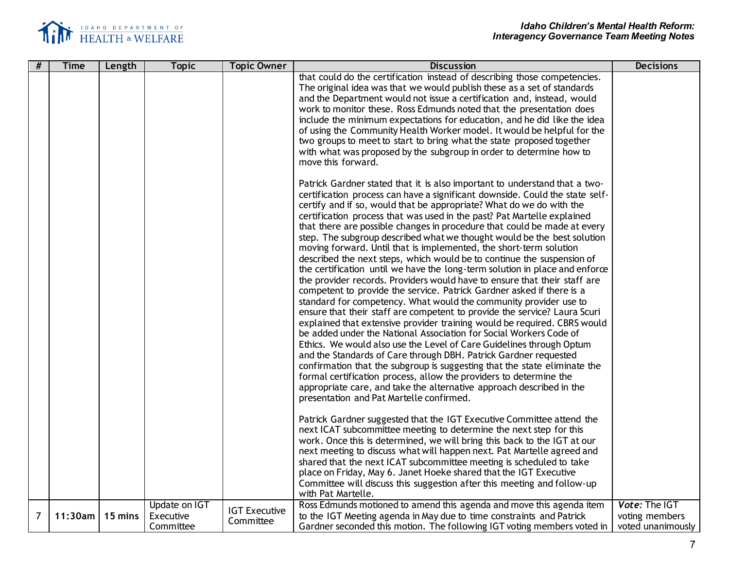

| #              | <b>Time</b> | Length  | <b>Topic</b>                            | <b>Topic Owner</b>                | <b>Discussion</b>                                                                                                                                                                                                                                                                                                                                                                                                                                                                                                                                                                                                                                                                                                                                                                                                                                                                                                                                                                                                                                                                                                                                                                                                                                                                                                                                                                                                                                                                                                                                                                | <b>Decisions</b>                                     |
|----------------|-------------|---------|-----------------------------------------|-----------------------------------|----------------------------------------------------------------------------------------------------------------------------------------------------------------------------------------------------------------------------------------------------------------------------------------------------------------------------------------------------------------------------------------------------------------------------------------------------------------------------------------------------------------------------------------------------------------------------------------------------------------------------------------------------------------------------------------------------------------------------------------------------------------------------------------------------------------------------------------------------------------------------------------------------------------------------------------------------------------------------------------------------------------------------------------------------------------------------------------------------------------------------------------------------------------------------------------------------------------------------------------------------------------------------------------------------------------------------------------------------------------------------------------------------------------------------------------------------------------------------------------------------------------------------------------------------------------------------------|------------------------------------------------------|
|                |             |         |                                         |                                   | that could do the certification instead of describing those competencies.<br>The original idea was that we would publish these as a set of standards<br>and the Department would not issue a certification and, instead, would<br>work to monitor these. Ross Edmunds noted that the presentation does<br>include the minimum expectations for education, and he did like the idea<br>of using the Community Health Worker model. It would be helpful for the<br>two groups to meet to start to bring what the state proposed together<br>with what was proposed by the subgroup in order to determine how to<br>move this forward.                                                                                                                                                                                                                                                                                                                                                                                                                                                                                                                                                                                                                                                                                                                                                                                                                                                                                                                                              |                                                      |
|                |             |         |                                         |                                   | Patrick Gardner stated that it is also important to understand that a two-<br>certification process can have a significant downside. Could the state self-<br>certify and if so, would that be appropriate? What do we do with the<br>certification process that was used in the past? Pat Martelle explained<br>that there are possible changes in procedure that could be made at every<br>step. The subgroup described what we thought would be the best solution<br>moving forward. Until that is implemented, the short-term solution<br>described the next steps, which would be to continue the suspension of<br>the certification until we have the long-term solution in place and enforce<br>the provider records. Providers would have to ensure that their staff are<br>competent to provide the service. Patrick Gardner asked if there is a<br>standard for competency. What would the community provider use to<br>ensure that their staff are competent to provide the service? Laura Scuri<br>explained that extensive provider training would be required. CBRS would<br>be added under the National Association for Social Workers Code of<br>Ethics. We would also use the Level of Care Guidelines through Optum<br>and the Standards of Care through DBH. Patrick Gardner requested<br>confirmation that the subgroup is suggesting that the state eliminate the<br>formal certification process, allow the providers to determine the<br>appropriate care, and take the alternative approach described in the<br>presentation and Pat Martelle confirmed. |                                                      |
|                |             |         |                                         |                                   | Patrick Gardner suggested that the IGT Executive Committee attend the<br>next ICAT subcommittee meeting to determine the next step for this<br>work. Once this is determined, we will bring this back to the IGT at our<br>next meeting to discuss what will happen next. Pat Martelle agreed and<br>shared that the next ICAT subcommittee meeting is scheduled to take<br>place on Friday, May 6. Janet Hoeke shared that the IGT Executive<br>Committee will discuss this suggestion after this meeting and follow-up<br>with Pat Martelle.                                                                                                                                                                                                                                                                                                                                                                                                                                                                                                                                                                                                                                                                                                                                                                                                                                                                                                                                                                                                                                   |                                                      |
| $\overline{7}$ | 11:30am     | 15 mins | Update on IGT<br>Executive<br>Committee | <b>IGT Executive</b><br>Committee | Ross Edmunds motioned to amend this agenda and move this agenda item<br>to the IGT Meeting agenda in May due to time constraints and Patrick<br>Gardner seconded this motion. The following IGT voting members voted in                                                                                                                                                                                                                                                                                                                                                                                                                                                                                                                                                                                                                                                                                                                                                                                                                                                                                                                                                                                                                                                                                                                                                                                                                                                                                                                                                          | Vote: The IGT<br>voting members<br>voted unanimously |